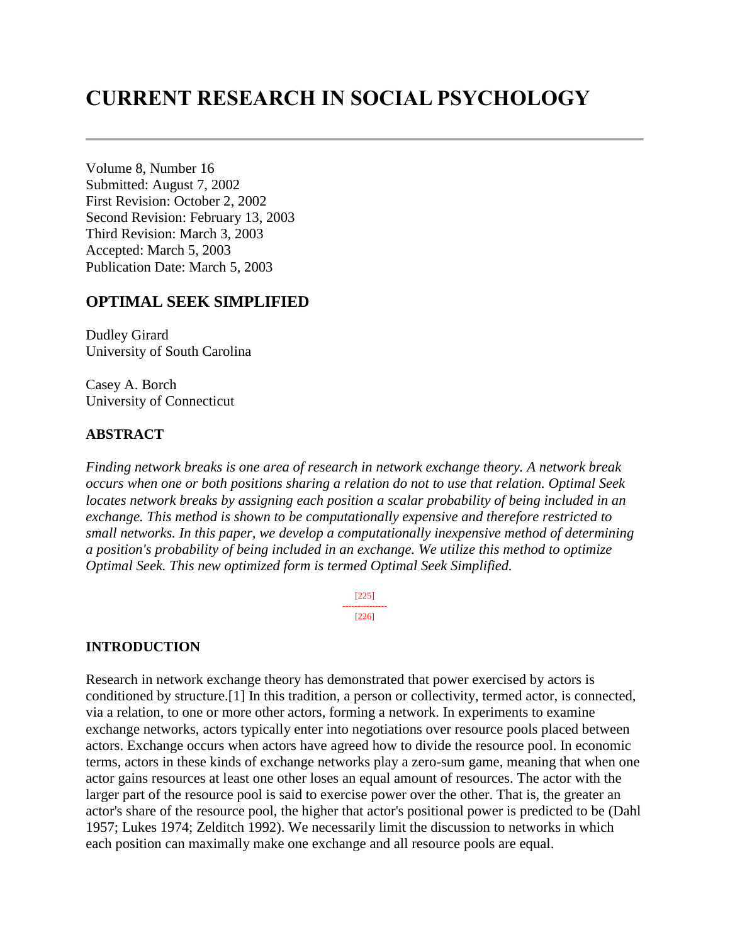# **CURRENT RESEARCH IN SOCIAL PSYCHOLOGY**

Volume 8, Number 16 Submitted: August 7, 2002 First Revision: October 2, 2002 Second Revision: February 13, 2003 Third Revision: March 3, 2003 Accepted: March 5, 2003 Publication Date: March 5, 2003

### **OPTIMAL SEEK SIMPLIFIED**

Dudley Girard University of South Carolina

Casey A. Borch University of Connecticut

#### **ABSTRACT**

*Finding network breaks is one area of research in network exchange theory. A network break occurs when one or both positions sharing a relation do not to use that relation. Optimal Seek locates network breaks by assigning each position a scalar probability of being included in an exchange. This method is shown to be computationally expensive and therefore restricted to small networks. In this paper, we develop a computationally inexpensive method of determining a position's probability of being included in an exchange. We utilize this method to optimize Optimal Seek. This new optimized form is termed Optimal Seek Simplified.*

> [225] --------------- [226]

#### **INTRODUCTION**

Research in network exchange theory has demonstrated that power exercised by actors is conditioned by structure.[1] In this tradition, a person or collectivity, termed actor, is connected, via a relation, to one or more other actors, forming a network. In experiments to examine exchange networks, actors typically enter into negotiations over resource pools placed between actors. Exchange occurs when actors have agreed how to divide the resource pool. In economic terms, actors in these kinds of exchange networks play a zero-sum game, meaning that when one actor gains resources at least one other loses an equal amount of resources. The actor with the larger part of the resource pool is said to exercise power over the other. That is, the greater an actor's share of the resource pool, the higher that actor's positional power is predicted to be (Dahl 1957; Lukes 1974; Zelditch 1992). We necessarily limit the discussion to networks in which each position can maximally make one exchange and all resource pools are equal.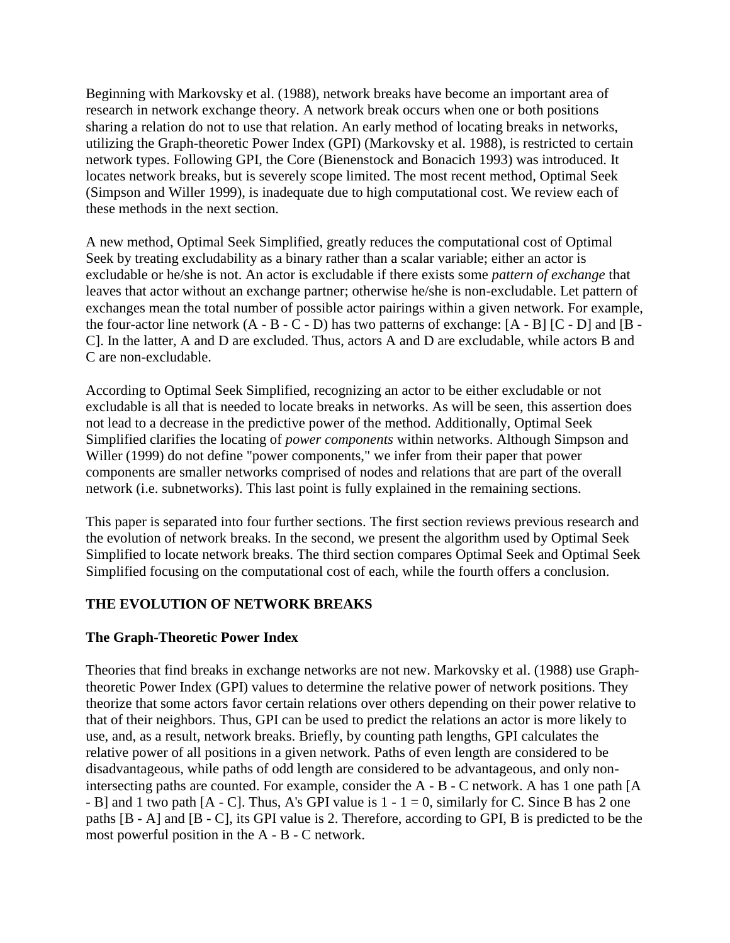Beginning with Markovsky et al. (1988), network breaks have become an important area of research in network exchange theory. A network break occurs when one or both positions sharing a relation do not to use that relation. An early method of locating breaks in networks, utilizing the Graph-theoretic Power Index (GPI) (Markovsky et al. 1988), is restricted to certain network types. Following GPI, the Core (Bienenstock and Bonacich 1993) was introduced. It locates network breaks, but is severely scope limited. The most recent method, Optimal Seek (Simpson and Willer 1999), is inadequate due to high computational cost. We review each of these methods in the next section.

A new method, Optimal Seek Simplified, greatly reduces the computational cost of Optimal Seek by treating excludability as a binary rather than a scalar variable; either an actor is excludable or he/she is not. An actor is excludable if there exists some *pattern of exchange* that leaves that actor without an exchange partner; otherwise he/she is non-excludable. Let pattern of exchanges mean the total number of possible actor pairings within a given network. For example, the four-actor line network  $(A - B - C - D)$  has two patterns of exchange:  $[A - B]$   $[C - D]$  and  $[B - C]$ C]. In the latter, A and D are excluded. Thus, actors A and D are excludable, while actors B and C are non-excludable.

According to Optimal Seek Simplified, recognizing an actor to be either excludable or not excludable is all that is needed to locate breaks in networks. As will be seen, this assertion does not lead to a decrease in the predictive power of the method. Additionally, Optimal Seek Simplified clarifies the locating of *power components* within networks. Although Simpson and Willer (1999) do not define "power components," we infer from their paper that power components are smaller networks comprised of nodes and relations that are part of the overall network (i.e. subnetworks). This last point is fully explained in the remaining sections.

This paper is separated into four further sections. The first section reviews previous research and the evolution of network breaks. In the second, we present the algorithm used by Optimal Seek Simplified to locate network breaks. The third section compares Optimal Seek and Optimal Seek Simplified focusing on the computational cost of each, while the fourth offers a conclusion.

# **THE EVOLUTION OF NETWORK BREAKS**

#### **The Graph-Theoretic Power Index**

Theories that find breaks in exchange networks are not new. Markovsky et al. (1988) use Graphtheoretic Power Index (GPI) values to determine the relative power of network positions. They theorize that some actors favor certain relations over others depending on their power relative to that of their neighbors. Thus, GPI can be used to predict the relations an actor is more likely to use, and, as a result, network breaks. Briefly, by counting path lengths, GPI calculates the relative power of all positions in a given network. Paths of even length are considered to be disadvantageous, while paths of odd length are considered to be advantageous, and only nonintersecting paths are counted. For example, consider the A - B - C network. A has 1 one path [A  $-$  B] and 1 two path  $[A - C]$ . Thus, A's GPI value is  $1 - 1 = 0$ , similarly for C. Since B has 2 one paths [B - A] and [B - C], its GPI value is 2. Therefore, according to GPI, B is predicted to be the most powerful position in the A - B - C network.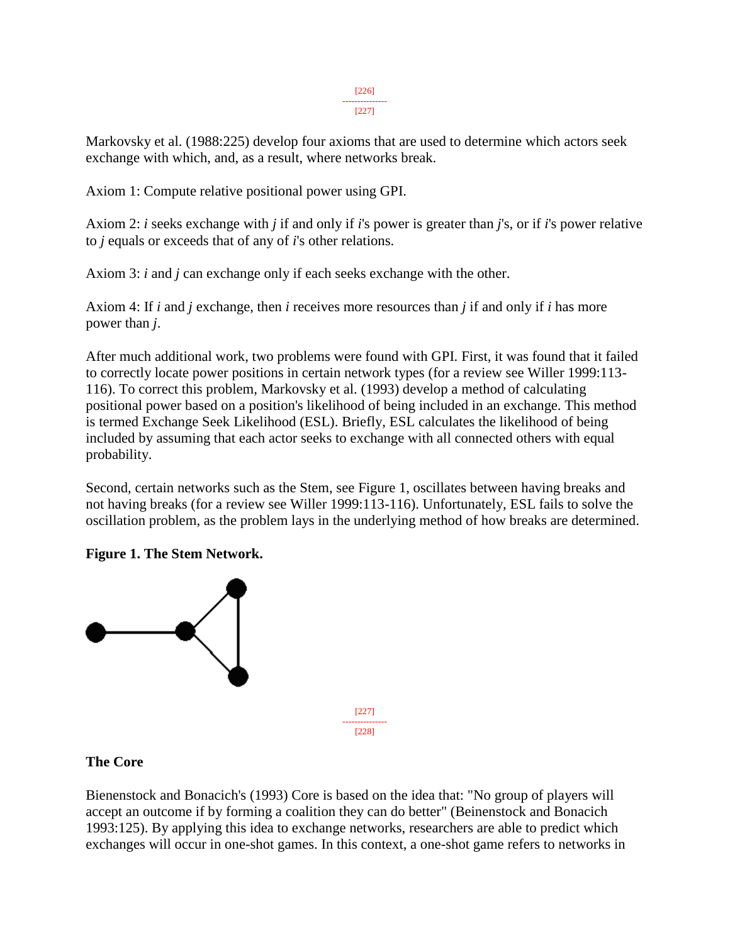#### [226] ---------------

 $[227]$ 

Markovsky et al. (1988:225) develop four axioms that are used to determine which actors seek exchange with which, and, as a result, where networks break.

Axiom 1: Compute relative positional power using GPI.

Axiom 2: *i* seeks exchange with *j* if and only if *i*'s power is greater than *j*'s, or if *i*'s power relative to *j* equals or exceeds that of any of *i*'s other relations.

Axiom 3: *i* and *j* can exchange only if each seeks exchange with the other.

Axiom 4: If *i* and *j* exchange, then *i* receives more resources than *j* if and only if *i* has more power than *j*.

After much additional work, two problems were found with GPI. First, it was found that it failed to correctly locate power positions in certain network types (for a review see Willer 1999:113- 116). To correct this problem, Markovsky et al. (1993) develop a method of calculating positional power based on a position's likelihood of being included in an exchange. This method is termed Exchange Seek Likelihood (ESL). Briefly, ESL calculates the likelihood of being included by assuming that each actor seeks to exchange with all connected others with equal probability.

Second, certain networks such as the Stem, see Figure 1, oscillates between having breaks and not having breaks (for a review see Willer 1999:113-116). Unfortunately, ESL fails to solve the oscillation problem, as the problem lays in the underlying method of how breaks are determined.

# **Figure 1. The Stem Network.**



# **The Core**

Bienenstock and Bonacich's (1993) Core is based on the idea that: "No group of players will accept an outcome if by forming a coalition they can do better" (Beinenstock and Bonacich 1993:125). By applying this idea to exchange networks, researchers are able to predict which exchanges will occur in one-shot games. In this context, a one-shot game refers to networks in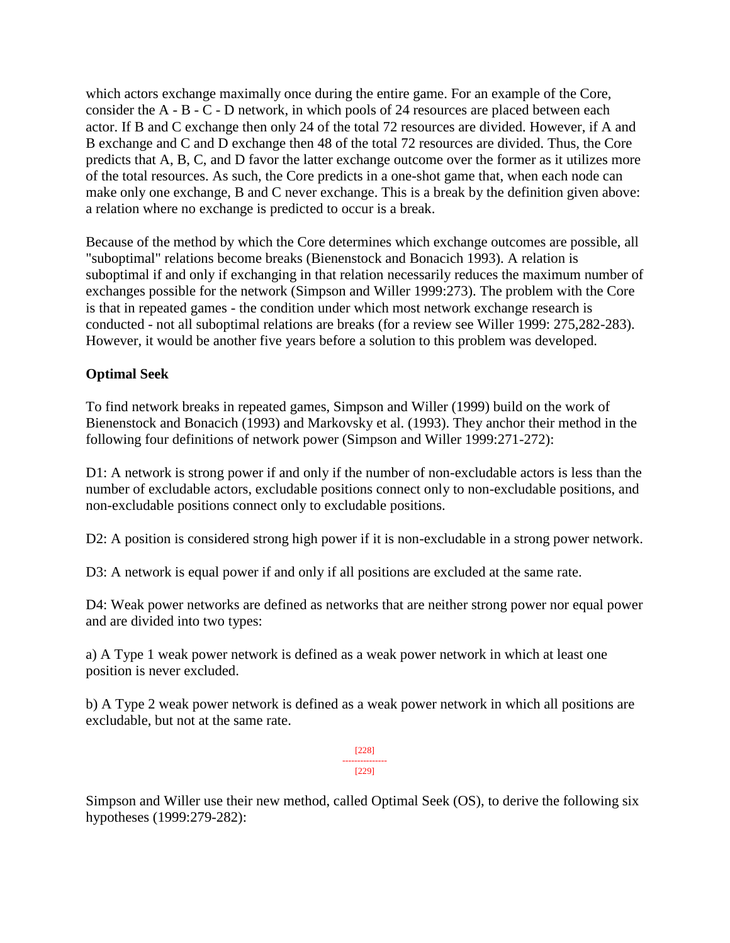which actors exchange maximally once during the entire game. For an example of the Core, consider the A - B - C - D network, in which pools of 24 resources are placed between each actor. If B and C exchange then only 24 of the total 72 resources are divided. However, if A and B exchange and C and D exchange then 48 of the total 72 resources are divided. Thus, the Core predicts that A, B, C, and D favor the latter exchange outcome over the former as it utilizes more of the total resources. As such, the Core predicts in a one-shot game that, when each node can make only one exchange, B and C never exchange. This is a break by the definition given above: a relation where no exchange is predicted to occur is a break.

Because of the method by which the Core determines which exchange outcomes are possible, all "suboptimal" relations become breaks (Bienenstock and Bonacich 1993). A relation is suboptimal if and only if exchanging in that relation necessarily reduces the maximum number of exchanges possible for the network (Simpson and Willer 1999:273). The problem with the Core is that in repeated games - the condition under which most network exchange research is conducted - not all suboptimal relations are breaks (for a review see Willer 1999: 275,282-283). However, it would be another five years before a solution to this problem was developed.

# **Optimal Seek**

To find network breaks in repeated games, Simpson and Willer (1999) build on the work of Bienenstock and Bonacich (1993) and Markovsky et al. (1993). They anchor their method in the following four definitions of network power (Simpson and Willer 1999:271-272):

D1: A network is strong power if and only if the number of non-excludable actors is less than the number of excludable actors, excludable positions connect only to non-excludable positions, and non-excludable positions connect only to excludable positions.

D2: A position is considered strong high power if it is non-excludable in a strong power network.

D3: A network is equal power if and only if all positions are excluded at the same rate.

D4: Weak power networks are defined as networks that are neither strong power nor equal power and are divided into two types:

a) A Type 1 weak power network is defined as a weak power network in which at least one position is never excluded.

b) A Type 2 weak power network is defined as a weak power network in which all positions are excludable, but not at the same rate.

> [228] --------------- [229]

Simpson and Willer use their new method, called Optimal Seek (OS), to derive the following six hypotheses (1999:279-282):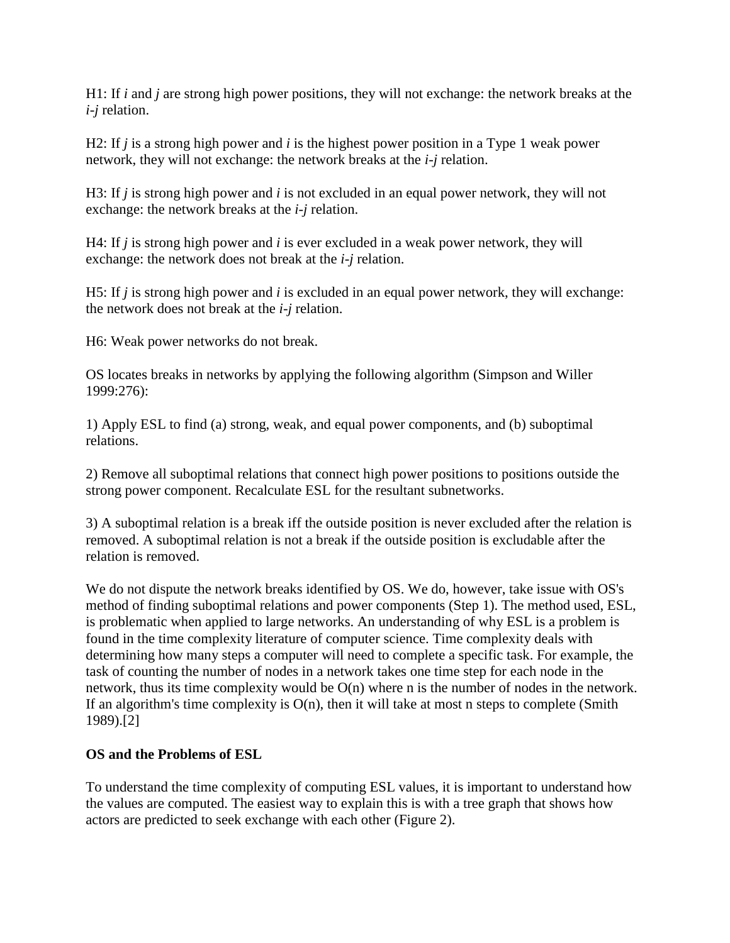H1: If *i* and *j* are strong high power positions, they will not exchange: the network breaks at the *i*-*j* relation.

H2: If *j* is a strong high power and *i* is the highest power position in a Type 1 weak power network, they will not exchange: the network breaks at the *i*-*j* relation.

H3: If *j* is strong high power and *i* is not excluded in an equal power network, they will not exchange: the network breaks at the *i*-*j* relation.

H4: If *j* is strong high power and *i* is ever excluded in a weak power network, they will exchange: the network does not break at the *i*-*j* relation.

H5: If *j* is strong high power and *i* is excluded in an equal power network, they will exchange: the network does not break at the *i*-*j* relation.

H6: Weak power networks do not break.

OS locates breaks in networks by applying the following algorithm (Simpson and Willer 1999:276):

1) Apply ESL to find (a) strong, weak, and equal power components, and (b) suboptimal relations.

2) Remove all suboptimal relations that connect high power positions to positions outside the strong power component. Recalculate ESL for the resultant subnetworks.

3) A suboptimal relation is a break iff the outside position is never excluded after the relation is removed. A suboptimal relation is not a break if the outside position is excludable after the relation is removed.

We do not dispute the network breaks identified by OS. We do, however, take issue with OS's method of finding suboptimal relations and power components (Step 1). The method used, ESL, is problematic when applied to large networks. An understanding of why ESL is a problem is found in the time complexity literature of computer science. Time complexity deals with determining how many steps a computer will need to complete a specific task. For example, the task of counting the number of nodes in a network takes one time step for each node in the network, thus its time complexity would be O(n) where n is the number of nodes in the network. If an algorithm's time complexity is  $O(n)$ , then it will take at most n steps to complete (Smith 1989).[2]

# **OS and the Problems of ESL**

To understand the time complexity of computing ESL values, it is important to understand how the values are computed. The easiest way to explain this is with a tree graph that shows how actors are predicted to seek exchange with each other (Figure 2).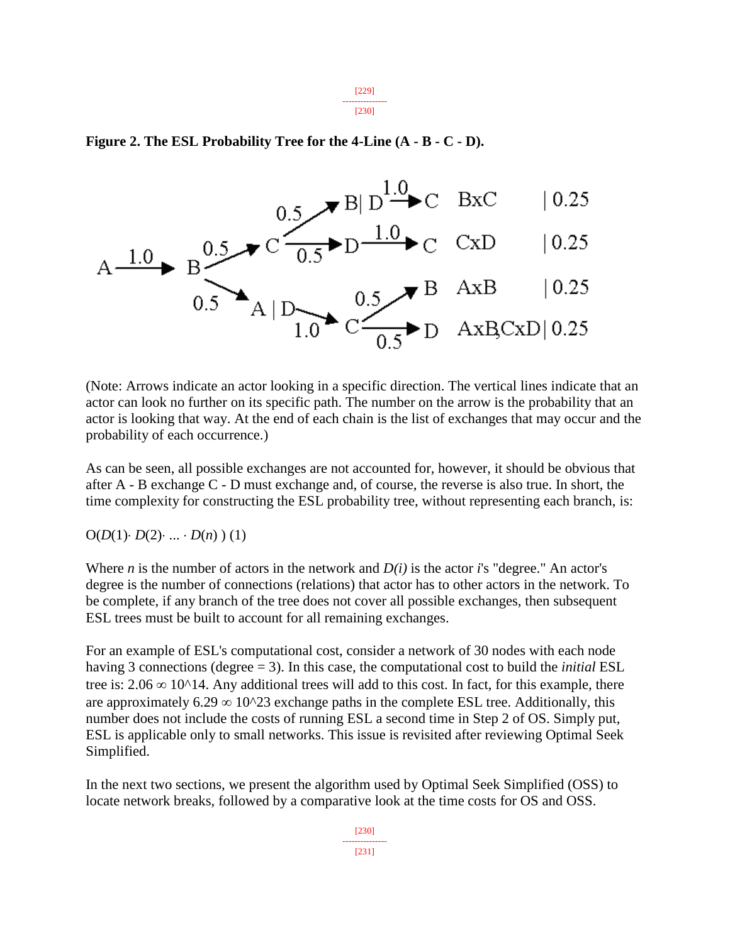[229] --------------- [230]

### **Figure 2. The ESL Probability Tree for the 4-Line (A - B - C - D).**



(Note: Arrows indicate an actor looking in a specific direction. The vertical lines indicate that an actor can look no further on its specific path. The number on the arrow is the probability that an actor is looking that way. At the end of each chain is the list of exchanges that may occur and the probability of each occurrence.)

As can be seen, all possible exchanges are not accounted for, however, it should be obvious that after A - B exchange C - D must exchange and, of course, the reverse is also true. In short, the time complexity for constructing the ESL probability tree, without representing each branch, is:

 $O(D(1) \cdot D(2) \cdot ... \cdot D(n) )$  (1)

Where *n* is the number of actors in the network and *D(i)* is the actor *i*'s "degree." An actor's degree is the number of connections (relations) that actor has to other actors in the network. To be complete, if any branch of the tree does not cover all possible exchanges, then subsequent ESL trees must be built to account for all remaining exchanges.

For an example of ESL's computational cost, consider a network of 30 nodes with each node having 3 connections (degree = 3). In this case, the computational cost to build the *initial* ESL tree is:  $2.06 \infty$  10^14. Any additional trees will add to this cost. In fact, for this example, there are approximately 6.29  $\infty$  10^23 exchange paths in the complete ESL tree. Additionally, this number does not include the costs of running ESL a second time in Step 2 of OS. Simply put, ESL is applicable only to small networks. This issue is revisited after reviewing Optimal Seek Simplified.

In the next two sections, we present the algorithm used by Optimal Seek Simplified (OSS) to locate network breaks, followed by a comparative look at the time costs for OS and OSS.

> [230] --------------- [231]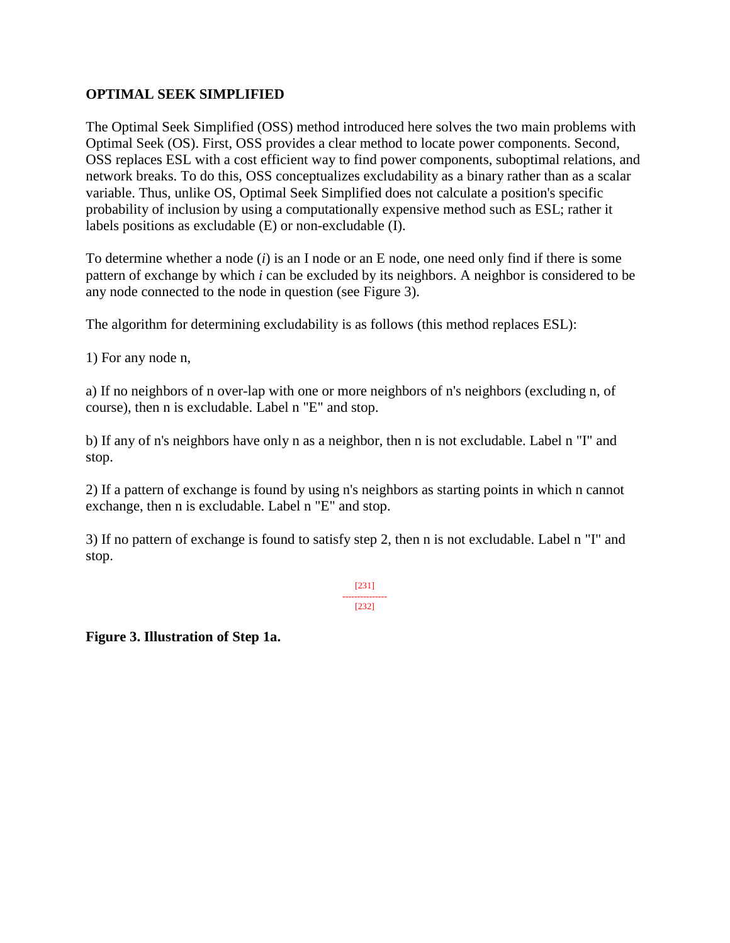# **OPTIMAL SEEK SIMPLIFIED**

The Optimal Seek Simplified (OSS) method introduced here solves the two main problems with Optimal Seek (OS). First, OSS provides a clear method to locate power components. Second, OSS replaces ESL with a cost efficient way to find power components, suboptimal relations, and network breaks. To do this, OSS conceptualizes excludability as a binary rather than as a scalar variable. Thus, unlike OS, Optimal Seek Simplified does not calculate a position's specific probability of inclusion by using a computationally expensive method such as ESL; rather it labels positions as excludable (E) or non-excludable (I).

To determine whether a node (*i*) is an I node or an E node, one need only find if there is some pattern of exchange by which *i* can be excluded by its neighbors. A neighbor is considered to be any node connected to the node in question (see Figure 3).

The algorithm for determining excludability is as follows (this method replaces ESL):

1) For any node n,

a) If no neighbors of n over-lap with one or more neighbors of n's neighbors (excluding n, of course), then n is excludable. Label n "E" and stop.

b) If any of n's neighbors have only n as a neighbor, then n is not excludable. Label n "I" and stop.

2) If a pattern of exchange is found by using n's neighbors as starting points in which n cannot exchange, then n is excludable. Label n "E" and stop.

3) If no pattern of exchange is found to satisfy step 2, then n is not excludable. Label n "I" and stop.

> [231] --------------- [232]

**Figure 3. Illustration of Step 1a.**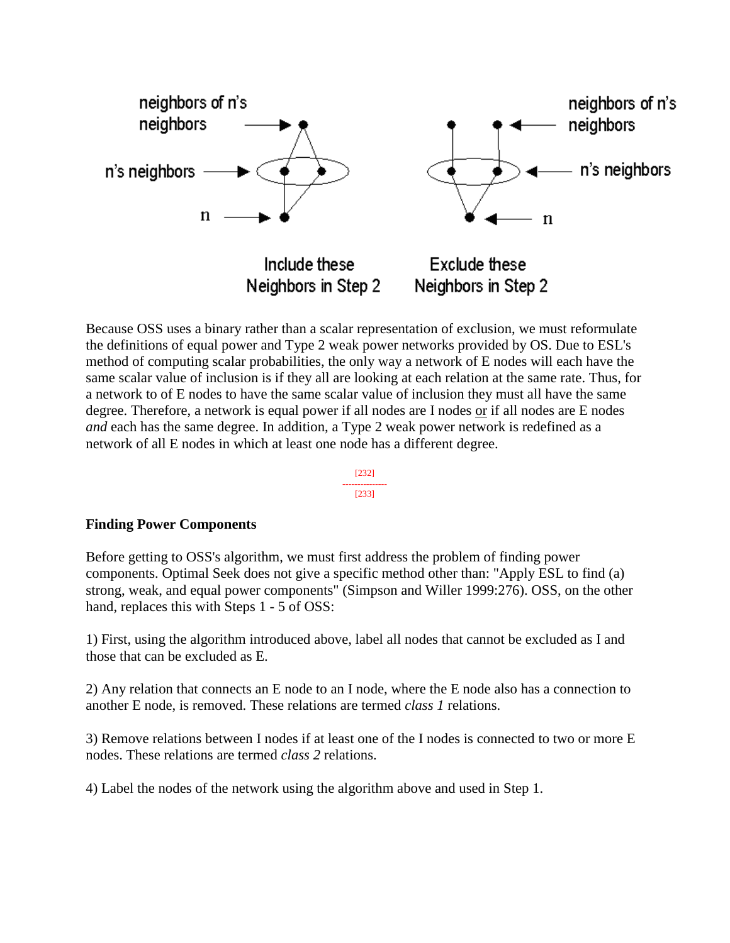

Because OSS uses a binary rather than a scalar representation of exclusion, we must reformulate the definitions of equal power and Type 2 weak power networks provided by OS. Due to ESL's method of computing scalar probabilities, the only way a network of E nodes will each have the same scalar value of inclusion is if they all are looking at each relation at the same rate. Thus, for a network to of E nodes to have the same scalar value of inclusion they must all have the same degree. Therefore, a network is equal power if all nodes are I nodes or if all nodes are E nodes *and* each has the same degree. In addition, a Type 2 weak power network is redefined as a network of all E nodes in which at least one node has a different degree.

> [232] --------------- [233]

#### **Finding Power Components**

Before getting to OSS's algorithm, we must first address the problem of finding power components. Optimal Seek does not give a specific method other than: "Apply ESL to find (a) strong, weak, and equal power components" (Simpson and Willer 1999:276). OSS, on the other hand, replaces this with Steps 1 - 5 of OSS:

1) First, using the algorithm introduced above, label all nodes that cannot be excluded as I and those that can be excluded as E.

2) Any relation that connects an E node to an I node, where the E node also has a connection to another E node, is removed. These relations are termed *class 1* relations.

3) Remove relations between I nodes if at least one of the I nodes is connected to two or more E nodes. These relations are termed *class 2* relations.

4) Label the nodes of the network using the algorithm above and used in Step 1.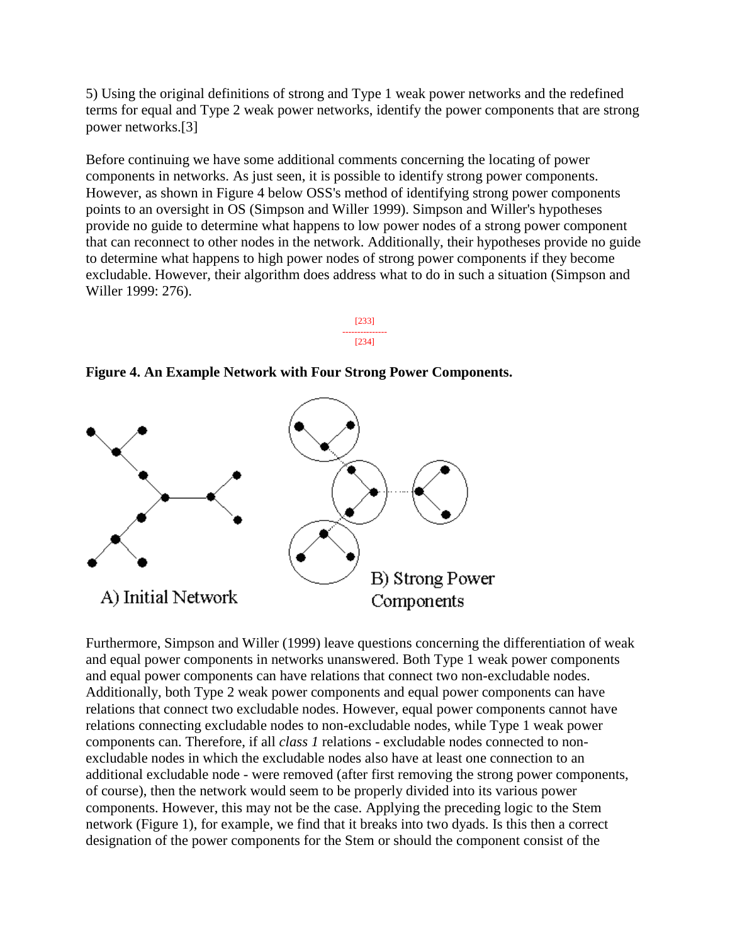5) Using the original definitions of strong and Type 1 weak power networks and the redefined terms for equal and Type 2 weak power networks, identify the power components that are strong power networks.[3]

Before continuing we have some additional comments concerning the locating of power components in networks. As just seen, it is possible to identify strong power components. However, as shown in Figure 4 below OSS's method of identifying strong power components points to an oversight in OS (Simpson and Willer 1999). Simpson and Willer's hypotheses provide no guide to determine what happens to low power nodes of a strong power component that can reconnect to other nodes in the network. Additionally, their hypotheses provide no guide to determine what happens to high power nodes of strong power components if they become excludable. However, their algorithm does address what to do in such a situation (Simpson and Willer 1999: 276).



**Figure 4. An Example Network with Four Strong Power Components.**



Furthermore, Simpson and Willer (1999) leave questions concerning the differentiation of weak and equal power components in networks unanswered. Both Type 1 weak power components and equal power components can have relations that connect two non-excludable nodes. Additionally, both Type 2 weak power components and equal power components can have relations that connect two excludable nodes. However, equal power components cannot have relations connecting excludable nodes to non-excludable nodes, while Type 1 weak power components can. Therefore, if all *class 1* relations - excludable nodes connected to nonexcludable nodes in which the excludable nodes also have at least one connection to an additional excludable node - were removed (after first removing the strong power components, of course), then the network would seem to be properly divided into its various power components. However, this may not be the case. Applying the preceding logic to the Stem network (Figure 1), for example, we find that it breaks into two dyads. Is this then a correct designation of the power components for the Stem or should the component consist of the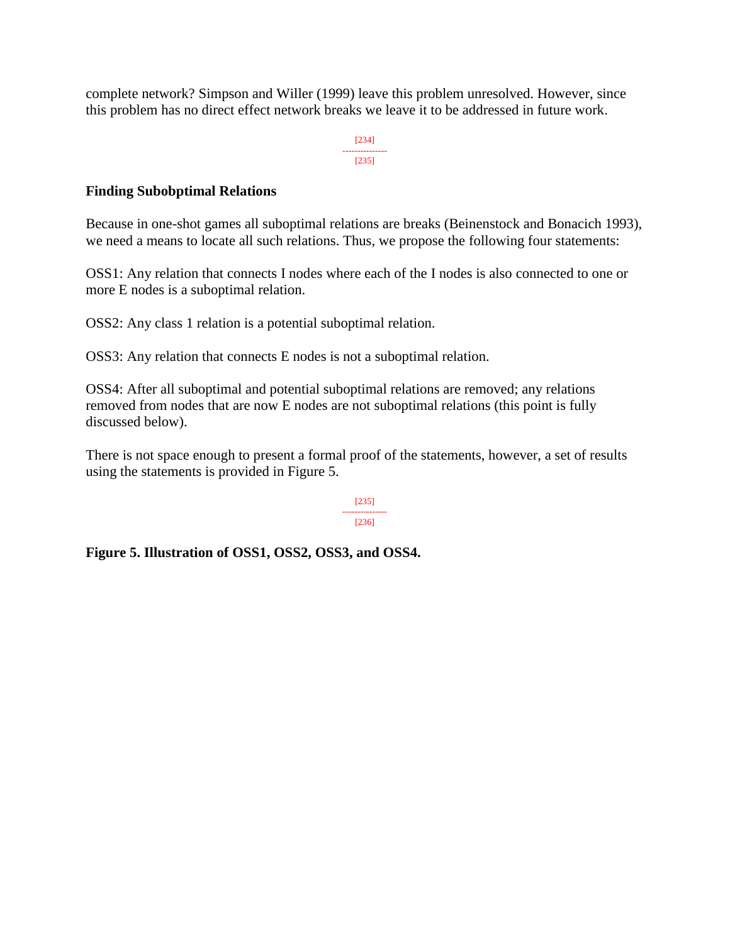complete network? Simpson and Willer (1999) leave this problem unresolved. However, since this problem has no direct effect network breaks we leave it to be addressed in future work.

> [234] --------------- [235]

### **Finding Subobptimal Relations**

Because in one-shot games all suboptimal relations are breaks (Beinenstock and Bonacich 1993), we need a means to locate all such relations. Thus, we propose the following four statements:

OSS1: Any relation that connects I nodes where each of the I nodes is also connected to one or more E nodes is a suboptimal relation.

OSS2: Any class 1 relation is a potential suboptimal relation.

OSS3: Any relation that connects E nodes is not a suboptimal relation.

OSS4: After all suboptimal and potential suboptimal relations are removed; any relations removed from nodes that are now E nodes are not suboptimal relations (this point is fully discussed below).

There is not space enough to present a formal proof of the statements, however, a set of results using the statements is provided in Figure 5.

> [235] --------------- [236]

**Figure 5. Illustration of OSS1, OSS2, OSS3, and OSS4.**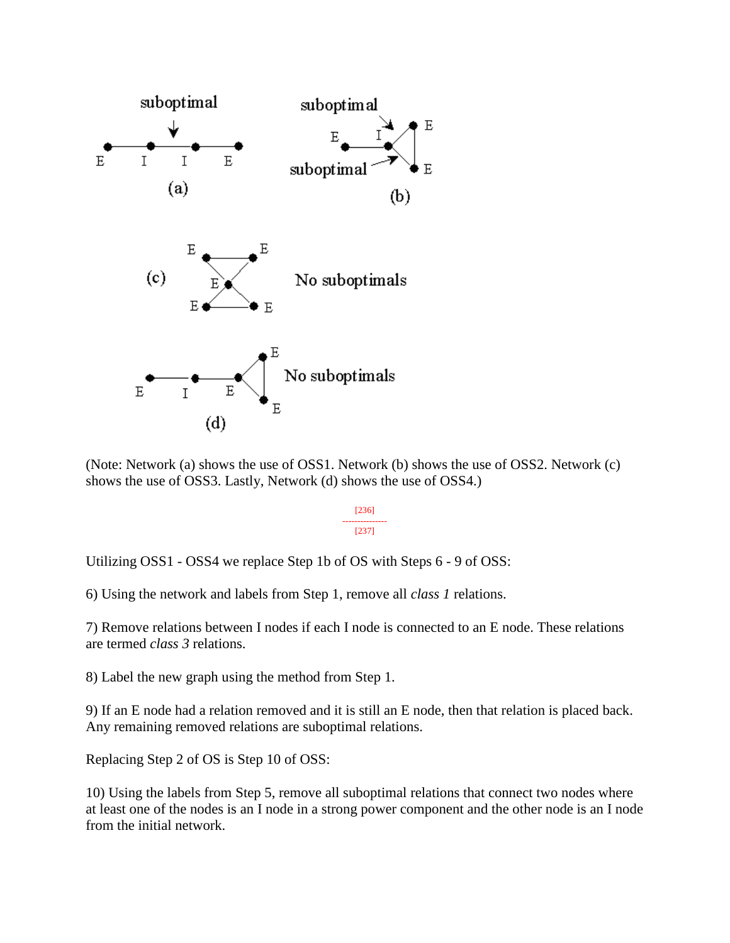

(Note: Network (a) shows the use of OSS1. Network (b) shows the use of OSS2. Network (c) shows the use of OSS3. Lastly, Network (d) shows the use of OSS4.)

> [236] --------------- [237]

Utilizing OSS1 - OSS4 we replace Step 1b of OS with Steps 6 - 9 of OSS:

6) Using the network and labels from Step 1, remove all *class 1* relations.

7) Remove relations between I nodes if each I node is connected to an E node. These relations are termed *class 3* relations.

8) Label the new graph using the method from Step 1.

9) If an E node had a relation removed and it is still an E node, then that relation is placed back. Any remaining removed relations are suboptimal relations.

Replacing Step 2 of OS is Step 10 of OSS:

10) Using the labels from Step 5, remove all suboptimal relations that connect two nodes where at least one of the nodes is an I node in a strong power component and the other node is an I node from the initial network.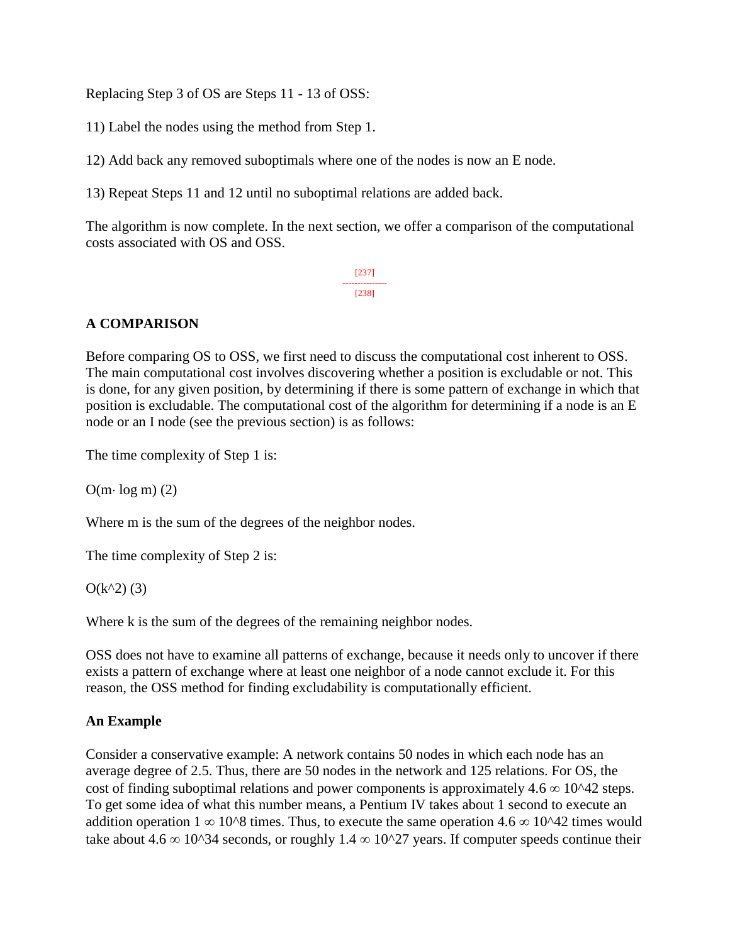Replacing Step 3 of OS are Steps 11 - 13 of OSS:

11) Label the nodes using the method from Step 1.

12) Add back any removed suboptimals where one of the nodes is now an E node.

13) Repeat Steps 11 and 12 until no suboptimal relations are added back.

The algorithm is now complete. In the next section, we offer a comparison of the computational costs associated with OS and OSS.

> [237] --------------- [238]

# **A COMPARISON**

Before comparing OS to OSS, we first need to discuss the computational cost inherent to OSS. The main computational cost involves discovering whether a position is excludable or not. This is done, for any given position, by determining if there is some pattern of exchange in which that position is excludable. The computational cost of the algorithm for determining if a node is an E node or an I node (see the previous section) is as follows:

The time complexity of Step 1 is:

 $O(m \cdot log m)$  (2)

Where m is the sum of the degrees of the neighbor nodes.

The time complexity of Step 2 is:

 $O(k^2)$  (3)

Where k is the sum of the degrees of the remaining neighbor nodes.

OSS does not have to examine all patterns of exchange, because it needs only to uncover if there exists a pattern of exchange where at least one neighbor of a node cannot exclude it. For this reason, the OSS method for finding excludability is computationally efficient.

# **An Example**

Consider a conservative example: A network contains 50 nodes in which each node has an average degree of 2.5. Thus, there are 50 nodes in the network and 125 relations. For OS, the cost of finding suboptimal relations and power components is approximately  $4.6 \infty$  10^42 steps. To get some idea of what this number means, a Pentium IV takes about 1 second to execute an addition operation  $1 \infty 10^8$  times. Thus, to execute the same operation 4.6  $\infty 10^8$  times would take about 4.6  $\infty$  10^34 seconds, or roughly 1.4  $\infty$  10^27 years. If computer speeds continue their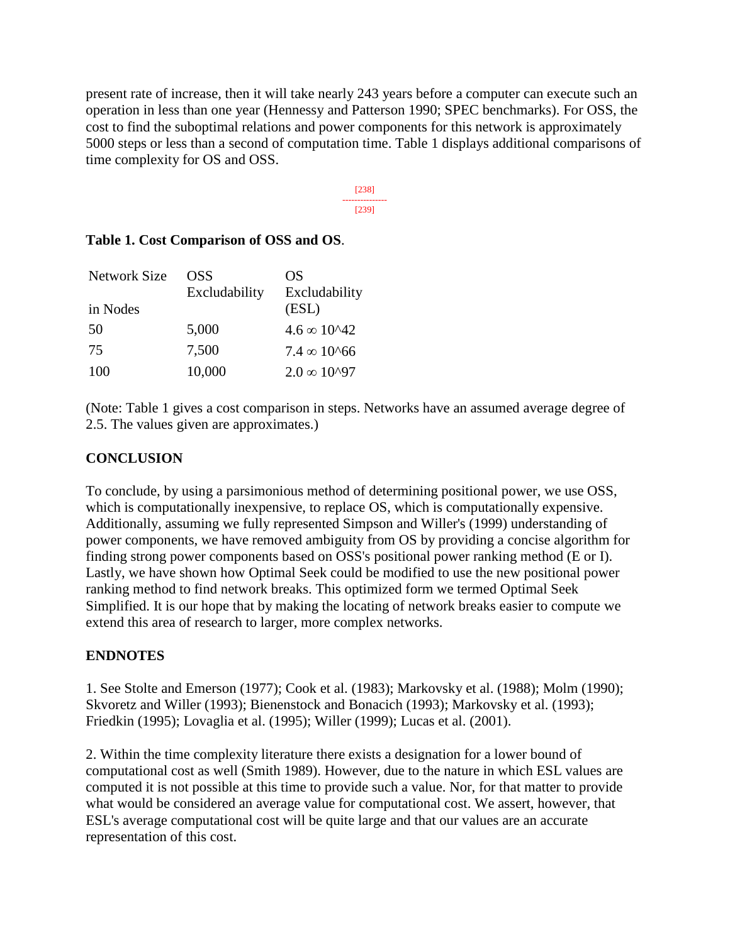present rate of increase, then it will take nearly 243 years before a computer can execute such an operation in less than one year (Hennessy and Patterson 1990; SPEC benchmarks). For OSS, the cost to find the suboptimal relations and power components for this network is approximately 5000 steps or less than a second of computation time. Table 1 displays additional comparisons of time complexity for OS and OSS.

> [238] --------------- [239]

| Table 1. Cost Comparison of OSS and OS. |  |  |  |  |  |  |
|-----------------------------------------|--|--|--|--|--|--|
|-----------------------------------------|--|--|--|--|--|--|

| Network Size | <b>OSS</b><br>Excludability | OS<br>Excludability    |
|--------------|-----------------------------|------------------------|
| in Nodes     |                             | (ESL)                  |
| 50           | 5,000                       | $4.6 \times 10^{42}$   |
| 75           | 7,500                       | $7.4 \times 10^{6}66$  |
| 100          | 10,000                      | $2.0 \times 10^{0.97}$ |

(Note: Table 1 gives a cost comparison in steps. Networks have an assumed average degree of 2.5. The values given are approximates.)

### **CONCLUSION**

To conclude, by using a parsimonious method of determining positional power, we use OSS, which is computationally inexpensive, to replace OS, which is computationally expensive. Additionally, assuming we fully represented Simpson and Willer's (1999) understanding of power components, we have removed ambiguity from OS by providing a concise algorithm for finding strong power components based on OSS's positional power ranking method (E or I). Lastly, we have shown how Optimal Seek could be modified to use the new positional power ranking method to find network breaks. This optimized form we termed Optimal Seek Simplified. It is our hope that by making the locating of network breaks easier to compute we extend this area of research to larger, more complex networks.

#### **ENDNOTES**

1. See Stolte and Emerson (1977); Cook et al. (1983); Markovsky et al. (1988); Molm (1990); Skvoretz and Willer (1993); Bienenstock and Bonacich (1993); Markovsky et al. (1993); Friedkin (1995); Lovaglia et al. (1995); Willer (1999); Lucas et al. (2001).

2. Within the time complexity literature there exists a designation for a lower bound of computational cost as well (Smith 1989). However, due to the nature in which ESL values are computed it is not possible at this time to provide such a value. Nor, for that matter to provide what would be considered an average value for computational cost. We assert, however, that ESL's average computational cost will be quite large and that our values are an accurate representation of this cost.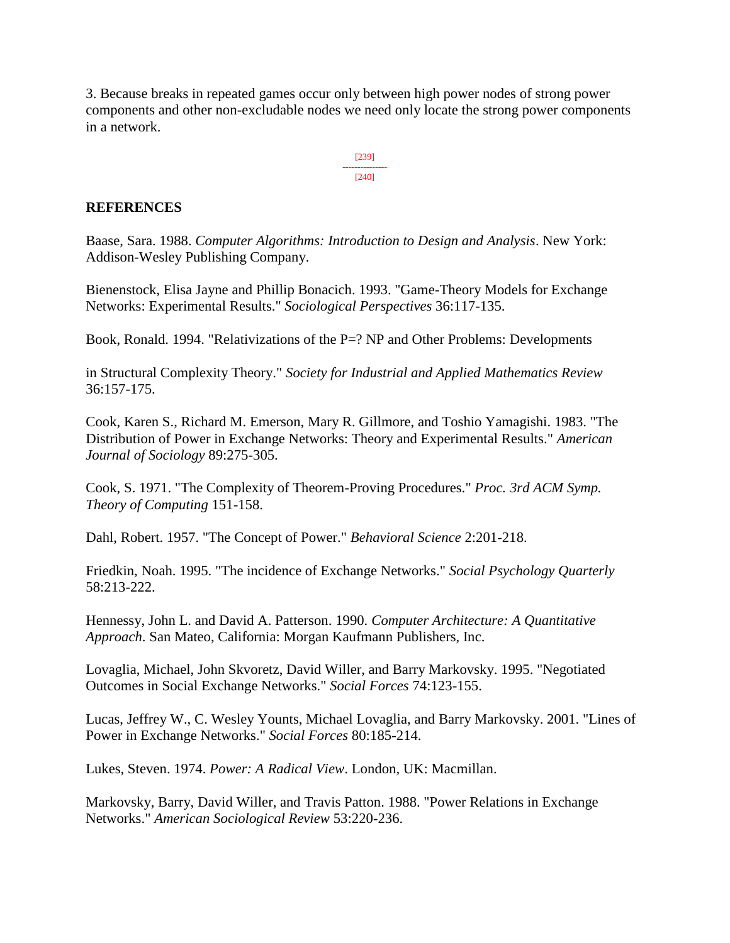3. Because breaks in repeated games occur only between high power nodes of strong power components and other non-excludable nodes we need only locate the strong power components in a network.



#### **REFERENCES**

Baase, Sara. 1988. *Computer Algorithms: Introduction to Design and Analysis*. New York: Addison-Wesley Publishing Company.

Bienenstock, Elisa Jayne and Phillip Bonacich. 1993. "Game-Theory Models for Exchange Networks: Experimental Results." *Sociological Perspectives* 36:117-135.

Book, Ronald. 1994. "Relativizations of the P=? NP and Other Problems: Developments

in Structural Complexity Theory." *Society for Industrial and Applied Mathematics Review* 36:157-175.

Cook, Karen S., Richard M. Emerson, Mary R. Gillmore, and Toshio Yamagishi. 1983. "The Distribution of Power in Exchange Networks: Theory and Experimental Results." *American Journal of Sociology* 89:275-305.

Cook, S. 1971. "The Complexity of Theorem-Proving Procedures." *Proc. 3rd ACM Symp. Theory of Computing* 151-158.

Dahl, Robert. 1957. "The Concept of Power." *Behavioral Science* 2:201-218.

Friedkin, Noah. 1995. "The incidence of Exchange Networks." *Social Psychology Quarterly* 58:213-222.

Hennessy, John L. and David A. Patterson. 1990. *Computer Architecture: A Quantitative Approach*. San Mateo, California: Morgan Kaufmann Publishers, Inc.

Lovaglia, Michael, John Skvoretz, David Willer, and Barry Markovsky. 1995. "Negotiated Outcomes in Social Exchange Networks." *Social Forces* 74:123-155.

Lucas, Jeffrey W., C. Wesley Younts, Michael Lovaglia, and Barry Markovsky. 2001. "Lines of Power in Exchange Networks." *Social Forces* 80:185-214.

Lukes, Steven. 1974. *Power: A Radical View*. London, UK: Macmillan.

Markovsky, Barry, David Willer, and Travis Patton. 1988. "Power Relations in Exchange Networks." *American Sociological Review* 53:220-236.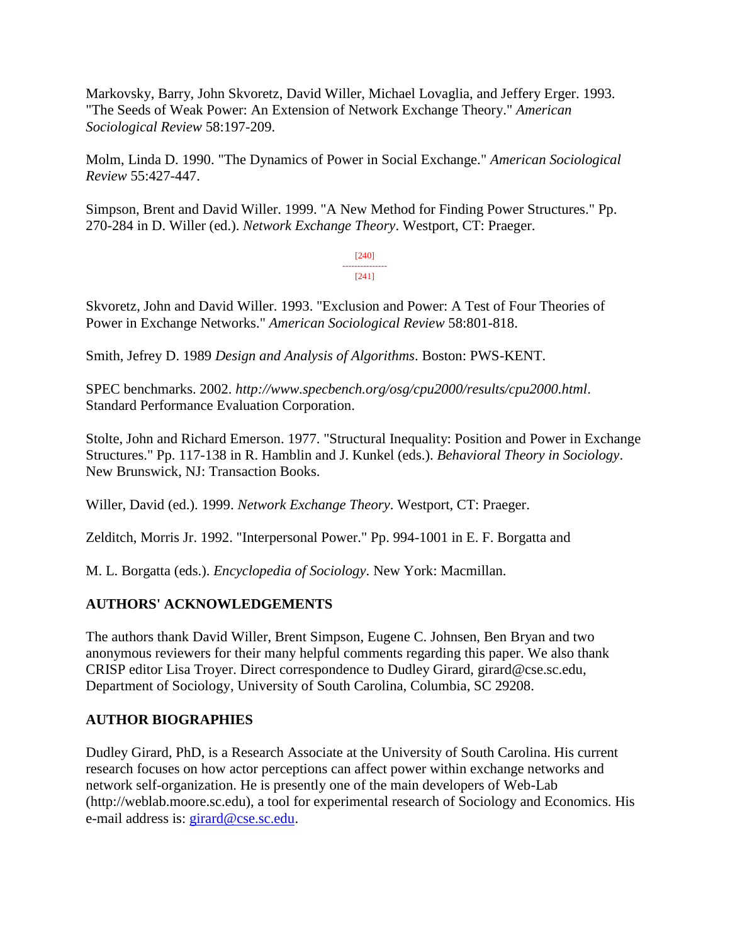Markovsky, Barry, John Skvoretz, David Willer, Michael Lovaglia, and Jeffery Erger. 1993. "The Seeds of Weak Power: An Extension of Network Exchange Theory." *American Sociological Review* 58:197-209.

Molm, Linda D. 1990. "The Dynamics of Power in Social Exchange." *American Sociological Review* 55:427-447.

Simpson, Brent and David Willer. 1999. "A New Method for Finding Power Structures." Pp. 270-284 in D. Willer (ed.). *Network Exchange Theory*. Westport, CT: Praeger.

> [240] --------------- [241]

Skvoretz, John and David Willer. 1993. "Exclusion and Power: A Test of Four Theories of Power in Exchange Networks." *American Sociological Review* 58:801-818.

Smith, Jefrey D. 1989 *Design and Analysis of Algorithms*. Boston: PWS-KENT.

SPEC benchmarks. 2002. *http://www.specbench.org/osg/cpu2000/results/cpu2000.html*. Standard Performance Evaluation Corporation.

Stolte, John and Richard Emerson. 1977. "Structural Inequality: Position and Power in Exchange Structures." Pp. 117-138 in R. Hamblin and J. Kunkel (eds.). *Behavioral Theory in Sociology*. New Brunswick, NJ: Transaction Books.

Willer, David (ed.). 1999. *Network Exchange Theory*. Westport, CT: Praeger.

Zelditch, Morris Jr. 1992. "Interpersonal Power." Pp. 994-1001 in E. F. Borgatta and

M. L. Borgatta (eds.). *Encyclopedia of Sociology*. New York: Macmillan.

# **AUTHORS' ACKNOWLEDGEMENTS**

The authors thank David Willer, Brent Simpson, Eugene C. Johnsen, Ben Bryan and two anonymous reviewers for their many helpful comments regarding this paper. We also thank CRISP editor Lisa Troyer. Direct correspondence to Dudley Girard, girard@cse.sc.edu, Department of Sociology, University of South Carolina, Columbia, SC 29208.

# **AUTHOR BIOGRAPHIES**

Dudley Girard, PhD, is a Research Associate at the University of South Carolina. His current research focuses on how actor perceptions can affect power within exchange networks and network self-organization. He is presently one of the main developers of Web-Lab (http://weblab.moore.sc.edu), a tool for experimental research of Sociology and Economics. His e-mail address is: [girard@cse.sc.edu.](mailto:girard@cse.sc.edu)